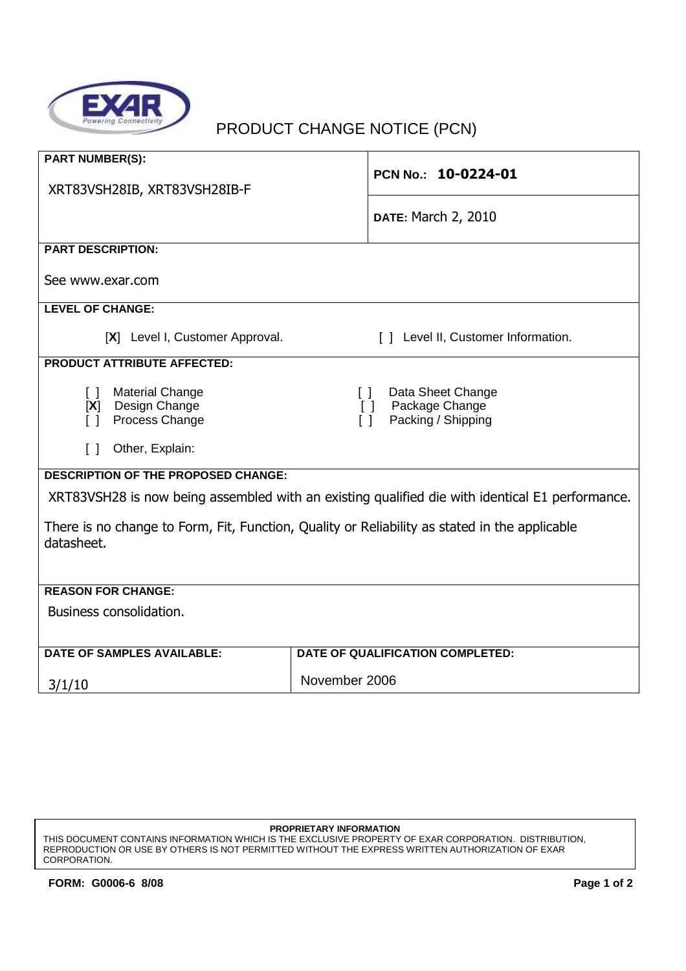

## PRODUCT CHANGE NOTICE (PCN)

| <b>PART NUMBER(S):</b>                                                                                                                      |                                                                                     |  |
|---------------------------------------------------------------------------------------------------------------------------------------------|-------------------------------------------------------------------------------------|--|
| XRT83VSH28IB, XRT83VSH28IB-F                                                                                                                | PCN No.: 10-0224-01                                                                 |  |
|                                                                                                                                             | <b>DATE: March 2, 2010</b>                                                          |  |
| <b>PART DESCRIPTION:</b>                                                                                                                    |                                                                                     |  |
| See www.exar.com                                                                                                                            |                                                                                     |  |
| <b>LEVEL OF CHANGE:</b>                                                                                                                     |                                                                                     |  |
| [X] Level I, Customer Approval.                                                                                                             | [ ] Level II, Customer Information.                                                 |  |
| <b>PRODUCT ATTRIBUTE AFFECTED:</b>                                                                                                          |                                                                                     |  |
| <b>Material Change</b><br>$\lceil$ 1<br>Design Change<br>[X]<br>Process Change<br>$\lceil$ $\rceil$<br>Other, Explain:<br>$\lceil$ $\rceil$ | Data Sheet Change<br>$\Box$<br>Package Change<br>$\Box$<br>Packing / Shipping<br>ΙI |  |
| <b>DESCRIPTION OF THE PROPOSED CHANGE:</b>                                                                                                  |                                                                                     |  |
| XRT83VSH28 is now being assembled with an existing qualified die with identical E1 performance.                                             |                                                                                     |  |
| There is no change to Form, Fit, Function, Quality or Reliability as stated in the applicable<br>datasheet.                                 |                                                                                     |  |
| <b>REASON FOR CHANGE:</b>                                                                                                                   |                                                                                     |  |
| Business consolidation.                                                                                                                     |                                                                                     |  |
| <b>DATE OF SAMPLES AVAILABLE:</b>                                                                                                           | <b>DATE OF QUALIFICATION COMPLETED:</b>                                             |  |
| 3/1/10                                                                                                                                      | November 2006                                                                       |  |

## **PROPRIETARY INFORMATION**

THIS DOCUMENT CONTAINS INFORMATION WHICH IS THE EXCLUSIVE PROPERTY OF EXAR CORPORATION. DISTRIBUTION, REPRODUCTION OR USE BY OTHERS IS NOT PERMITTED WITHOUT THE EXPRESS WRITTEN AUTHORIZATION OF EXAR CORPORATION.